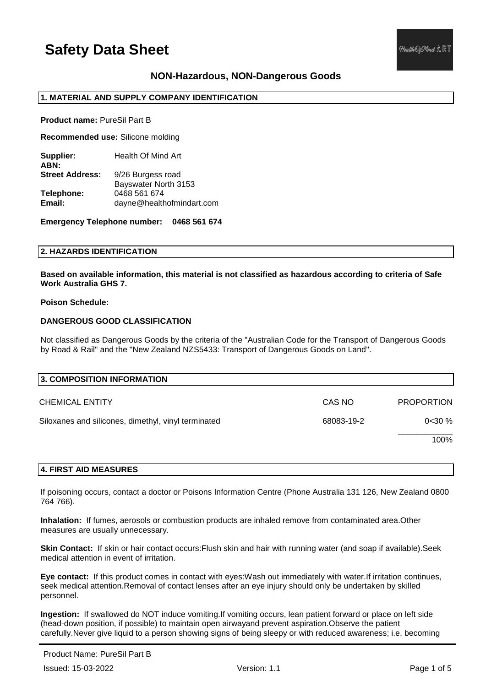## **NON-Hazardous, NON-Dangerous Goods**

## **1. MATERIAL AND SUPPLY COMPANY IDENTIFICATION**

**Product name:** PureSil Part B

**Recommended use:** Silicone molding

**Supplier:** Health Of Mind Art **ABN: Street Address:** 9/26 Burgess road Bayswater North 3153 **Telephone:** 0468 561 674 **Email:** dayne@healthofmindart.com

**Emergency Telephone number: 0468 561 674**

## **2. HAZARDS IDENTIFICATION**

**Based on available information, this material is not classified as hazardous according to criteria of Safe Work Australia GHS 7.**

### **Poison Schedule:**

## **DANGEROUS GOOD CLASSIFICATION**

Not classified as Dangerous Goods by the criteria of the "Australian Code for the Transport of Dangerous Goods by Road & Rail" and the "New Zealand NZS5433: Transport of Dangerous Goods on Land".

| 3. COMPOSITION INFORMATION                          |            |                   |
|-----------------------------------------------------|------------|-------------------|
| <b>CHEMICAL ENTITY</b>                              | CAS NO     | <b>PROPORTION</b> |
| Siloxanes and silicones, dimethyl, vinyl terminated | 68083-19-2 | 0<30%             |
|                                                     |            | 100%              |

### **4. FIRST AID MEASURES**

If poisoning occurs, contact a doctor or Poisons Information Centre (Phone Australia 131 126, New Zealand 0800 764 766).

**Inhalation:** If fumes, aerosols or combustion products are inhaled remove from contaminated area.Other measures are usually unnecessary.

**Skin Contact:** If skin or hair contact occurs:Flush skin and hair with running water (and soap if available).Seek medical attention in event of irritation.

**Eye contact:** If this product comes in contact with eyes:Wash out immediately with water.If irritation continues, seek medical attention.Removal of contact lenses after an eye injury should only be undertaken by skilled personnel.

**Ingestion:** If swallowed do NOT induce vomiting.If vomiting occurs, lean patient forward or place on left side (head-down position, if possible) to maintain open airwayand prevent aspiration.Observe the patient carefully.Never give liquid to a person showing signs of being sleepy or with reduced awareness; i.e. becoming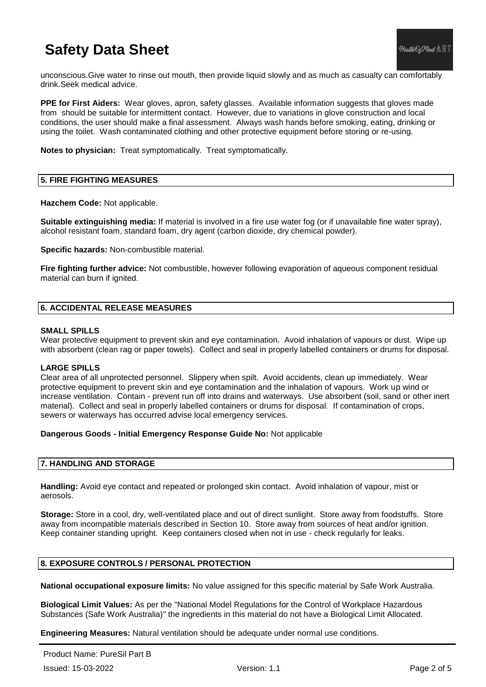unconscious.Give water to rinse out mouth, then provide liquid slowly and as much as casualty can comfortably drink.Seek medical advice.

**PPE for First Aiders:** Wear gloves, apron, safety glasses. Available information suggests that gloves made from should be suitable for intermittent contact. However, due to variations in glove construction and local conditions, the user should make a final assessment. Always wash hands before smoking, eating, drinking or using the toilet. Wash contaminated clothing and other protective equipment before storing or re-using.

**Notes to physician:** Treat symptomatically. Treat symptomatically.

## **5. FIRE FIGHTING MEASURES**

**Hazchem Code:** Not applicable.

**Suitable extinguishing media:** If material is involved in a fire use water fog (or if unavailable fine water spray), alcohol resistant foam, standard foam, dry agent (carbon dioxide, dry chemical powder).

**Specific hazards:** Non-combustible material.

**Fire fighting further advice:** Not combustible, however following evaporation of aqueous component residual material can burn if ignited.

## **6. ACCIDENTAL RELEASE MEASURES**

### **SMALL SPILLS**

Wear protective equipment to prevent skin and eye contamination. Avoid inhalation of vapours or dust. Wipe up with absorbent (clean rag or paper towels). Collect and seal in properly labelled containers or drums for disposal.

### **LARGE SPILLS**

Clear area of all unprotected personnel. Slippery when spilt. Avoid accidents, clean up immediately. Wear protective equipment to prevent skin and eye contamination and the inhalation of vapours. Work up wind or increase ventilation. Contain - prevent run off into drains and waterways. Use absorbent (soil, sand or other inert material). Collect and seal in properly labelled containers or drums for disposal. If contamination of crops, sewers or waterways has occurred advise local emergency services.

### **Dangerous Goods - Initial Emergency Response Guide No:** Not applicable

### **7. HANDLING AND STORAGE**

**Handling:** Avoid eye contact and repeated or prolonged skin contact. Avoid inhalation of vapour, mist or aerosols.

**Storage:** Store in a cool, dry, well-ventilated place and out of direct sunlight. Store away from foodstuffs. Store away from incompatible materials described in Section 10. Store away from sources of heat and/or ignition. Keep container standing upright. Keep containers closed when not in use - check regularly for leaks.

## **8. EXPOSURE CONTROLS / PERSONAL PROTECTION**

**National occupational exposure limits:** No value assigned for this specific material by Safe Work Australia.

**Biological Limit Values:** As per the "National Model Regulations for the Control of Workplace Hazardous Substances (Safe Work Australia)" the ingredients in this material do not have a Biological Limit Allocated.

**Engineering Measures:** Natural ventilation should be adequate under normal use conditions.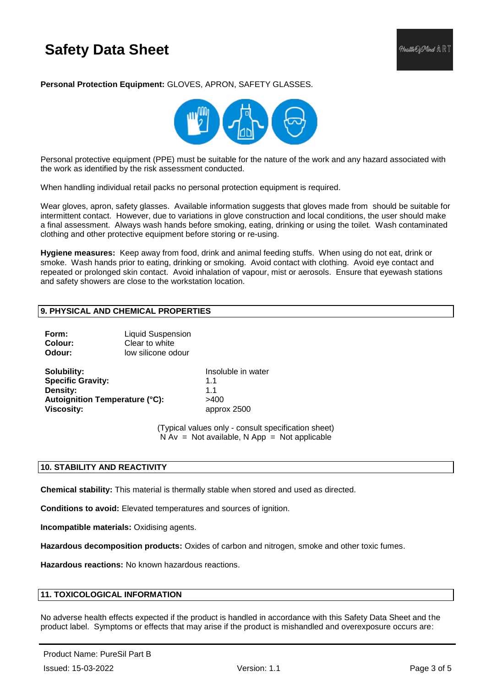**Personal Protection Equipment:** GLOVES, APRON, SAFETY GLASSES.



Personal protective equipment (PPE) must be suitable for the nature of the work and any hazard associated with the work as identified by the risk assessment conducted.

When handling individual retail packs no personal protection equipment is required.

Wear gloves, apron, safety glasses. Available information suggests that gloves made from should be suitable for intermittent contact. However, due to variations in glove construction and local conditions, the user should make a final assessment. Always wash hands before smoking, eating, drinking or using the toilet. Wash contaminated clothing and other protective equipment before storing or re-using.

**Hygiene measures:** Keep away from food, drink and animal feeding stuffs. When using do not eat, drink or smoke. Wash hands prior to eating, drinking or smoking. Avoid contact with clothing. Avoid eye contact and repeated or prolonged skin contact. Avoid inhalation of vapour, mist or aerosols. Ensure that eyewash stations and safety showers are close to the workstation location.

## **9. PHYSICAL AND CHEMICAL PROPERTIES**

| Form:   | <b>Liquid Suspension</b> |
|---------|--------------------------|
| Colour: | Clear to white           |
| Odour:  | low silicone odour       |

**Solubility:** Insoluble in water **Specific Gravity:** 1.1 **Density:** 1.1 Autoignition Temperature (°C): >400 **Viscosity:** approx 2500

(Typical values only - consult specification sheet)  $N Av = Not available$ . N App = Not applicable

### **10. STABILITY AND REACTIVITY**

**Chemical stability:** This material is thermally stable when stored and used as directed.

**Conditions to avoid:** Elevated temperatures and sources of ignition.

**Incompatible materials:** Oxidising agents.

**Hazardous decomposition products:** Oxides of carbon and nitrogen, smoke and other toxic fumes.

**Hazardous reactions:** No known hazardous reactions.

## **11. TOXICOLOGICAL INFORMATION**

No adverse health effects expected if the product is handled in accordance with this Safety Data Sheet and the product label. Symptoms or effects that may arise if the product is mishandled and overexposure occurs are: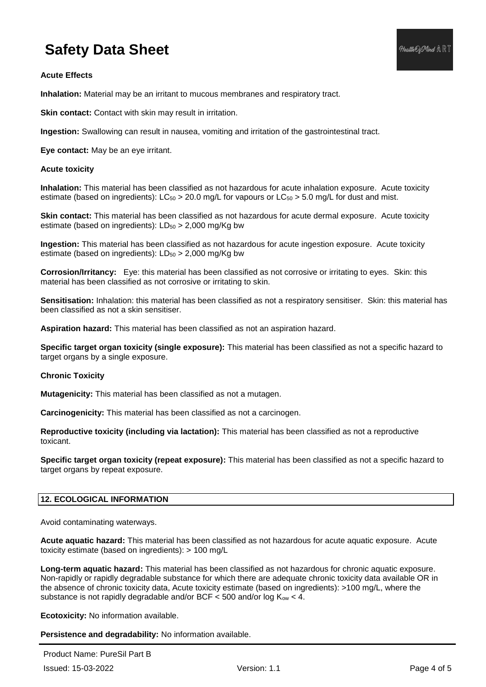**Inhalation:** Material may be an irritant to mucous membranes and respiratory tract.

**Skin contact:** Contact with skin may result in irritation.

**Ingestion:** Swallowing can result in nausea, vomiting and irritation of the gastrointestinal tract.

**Eye contact:** May be an eye irritant.

## **Acute toxicity**

**Inhalation:** This material has been classified as not hazardous for acute inhalation exposure. Acute toxicity estimate (based on ingredients):  $LC_{50} > 20.0$  mg/L for vapours or  $LC_{50} > 5.0$  mg/L for dust and mist.

**Skin contact:** This material has been classified as not hazardous for acute dermal exposure. Acute toxicity estimate (based on ingredients):  $LD_{50} > 2,000$  mg/Kg bw

**Ingestion:** This material has been classified as not hazardous for acute ingestion exposure. Acute toxicity estimate (based on ingredients):  $LD_{50} > 2,000$  mg/Kg bw

**Corrosion/Irritancy:** Eye: this material has been classified as not corrosive or irritating to eyes. Skin: this material has been classified as not corrosive or irritating to skin.

**Sensitisation:** Inhalation: this material has been classified as not a respiratory sensitiser. Skin: this material has been classified as not a skin sensitiser.

**Aspiration hazard:** This material has been classified as not an aspiration hazard.

**Specific target organ toxicity (single exposure):** This material has been classified as not a specific hazard to target organs by a single exposure.

### **Chronic Toxicity**

**Mutagenicity:** This material has been classified as not a mutagen.

**Carcinogenicity:** This material has been classified as not a carcinogen.

**Reproductive toxicity (including via lactation):** This material has been classified as not a reproductive toxicant.

**Specific target organ toxicity (repeat exposure):** This material has been classified as not a specific hazard to target organs by repeat exposure.

## **12. ECOLOGICAL INFORMATION**

Avoid contaminating waterways.

**Acute aquatic hazard:** This material has been classified as not hazardous for acute aquatic exposure. Acute toxicity estimate (based on ingredients): > 100 mg/L

**Long-term aquatic hazard:** This material has been classified as not hazardous for chronic aquatic exposure. Non-rapidly or rapidly degradable substance for which there are adequate chronic toxicity data available OR in the absence of chronic toxicity data, Acute toxicity estimate (based on ingredients): >100 mg/L, where the substance is not rapidly degradable and/or BCF  $<$  500 and/or log  $K_{ow}$   $<$  4.

**Ecotoxicity:** No information available.

**Persistence and degradability:** No information available.